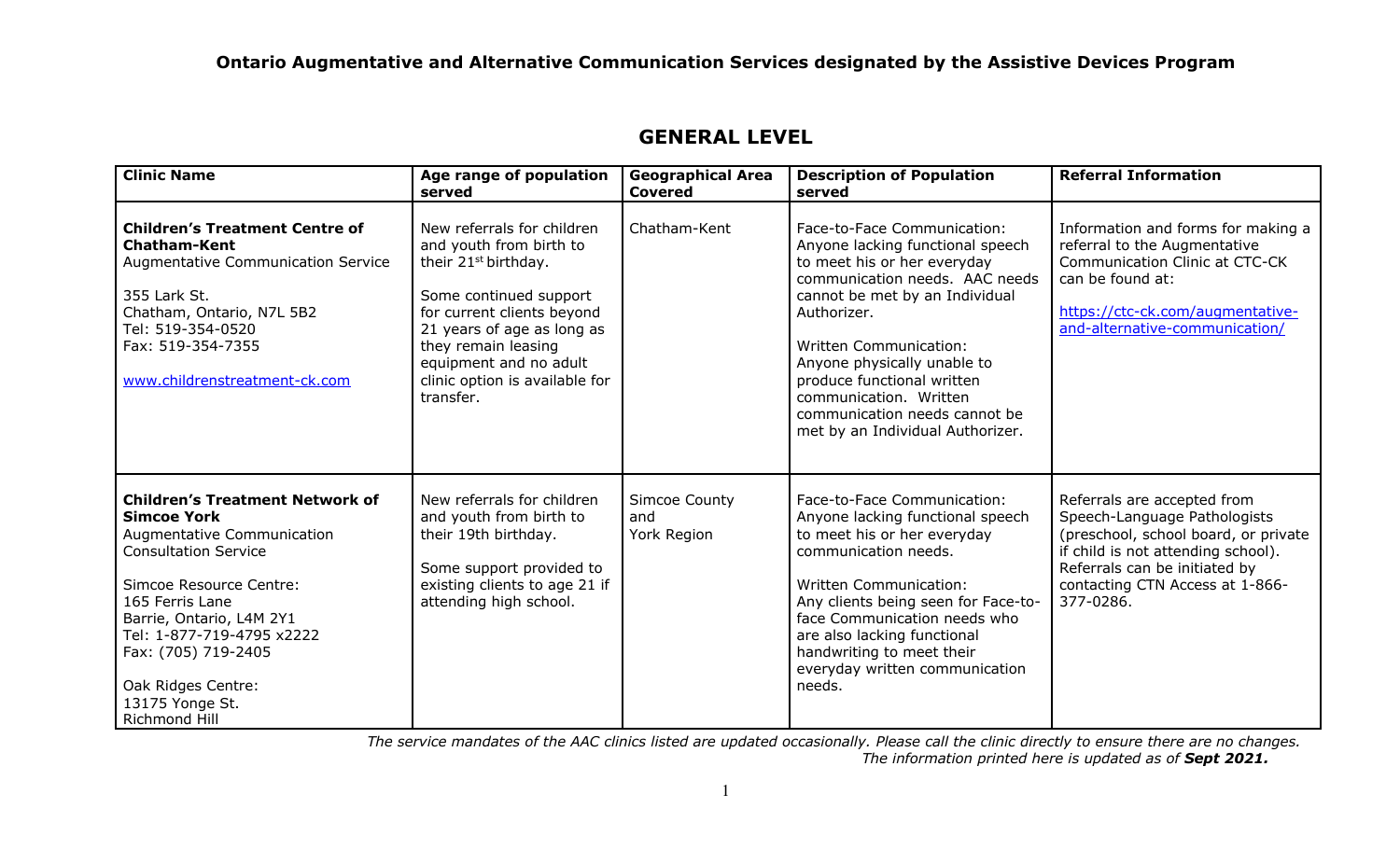| <b>Clinic Name</b>                                                                                                                                                                                                                                                                                                | Age range of population<br>served                                                                                                                                                                                                                                               | <b>Geographical Area</b><br><b>Covered</b> | <b>Description of Population</b><br>served                                                                                                                                                                                                                                                                                                                                     | <b>Referral Information</b>                                                                                                                                                                                                |
|-------------------------------------------------------------------------------------------------------------------------------------------------------------------------------------------------------------------------------------------------------------------------------------------------------------------|---------------------------------------------------------------------------------------------------------------------------------------------------------------------------------------------------------------------------------------------------------------------------------|--------------------------------------------|--------------------------------------------------------------------------------------------------------------------------------------------------------------------------------------------------------------------------------------------------------------------------------------------------------------------------------------------------------------------------------|----------------------------------------------------------------------------------------------------------------------------------------------------------------------------------------------------------------------------|
| <b>Children's Treatment Centre of</b><br><b>Chatham-Kent</b><br><b>Augmentative Communication Service</b><br>355 Lark St.<br>Chatham, Ontario, N7L 5B2<br>Tel: 519-354-0520<br>Fax: 519-354-7355<br>www.childrenstreatment-ck.com                                                                                 | New referrals for children<br>and youth from birth to<br>their 21 <sup>st</sup> birthday.<br>Some continued support<br>for current clients beyond<br>21 years of age as long as<br>they remain leasing<br>equipment and no adult<br>clinic option is available for<br>transfer. | Chatham-Kent                               | Face-to-Face Communication:<br>Anyone lacking functional speech<br>to meet his or her everyday<br>communication needs. AAC needs<br>cannot be met by an Individual<br>Authorizer.<br><b>Written Communication:</b><br>Anyone physically unable to<br>produce functional written<br>communication. Written<br>communication needs cannot be<br>met by an Individual Authorizer. | Information and forms for making a<br>referral to the Augmentative<br>Communication Clinic at CTC-CK<br>can be found at:<br>https://ctc-ck.com/augmentative-<br>and-alternative-communication/                             |
| <b>Children's Treatment Network of</b><br><b>Simcoe York</b><br>Augmentative Communication<br><b>Consultation Service</b><br>Simcoe Resource Centre:<br>165 Ferris Lane<br>Barrie, Ontario, L4M 2Y1<br>Tel: 1-877-719-4795 x2222<br>Fax: (705) 719-2405<br>Oak Ridges Centre:<br>13175 Yonge St.<br>Richmond Hill | New referrals for children<br>and youth from birth to<br>their 19th birthday.<br>Some support provided to<br>existing clients to age 21 if<br>attending high school.                                                                                                            | <b>Simcoe County</b><br>and<br>York Region | Face-to-Face Communication:<br>Anyone lacking functional speech<br>to meet his or her everyday<br>communication needs.<br><b>Written Communication:</b><br>Any clients being seen for Face-to-<br>face Communication needs who<br>are also lacking functional<br>handwriting to meet their<br>everyday written communication<br>needs.                                         | Referrals are accepted from<br>Speech-Language Pathologists<br>(preschool, school board, or private<br>if child is not attending school).<br>Referrals can be initiated by<br>contacting CTN Access at 1-866-<br>377-0286. |

# **GENERAL LEVEL**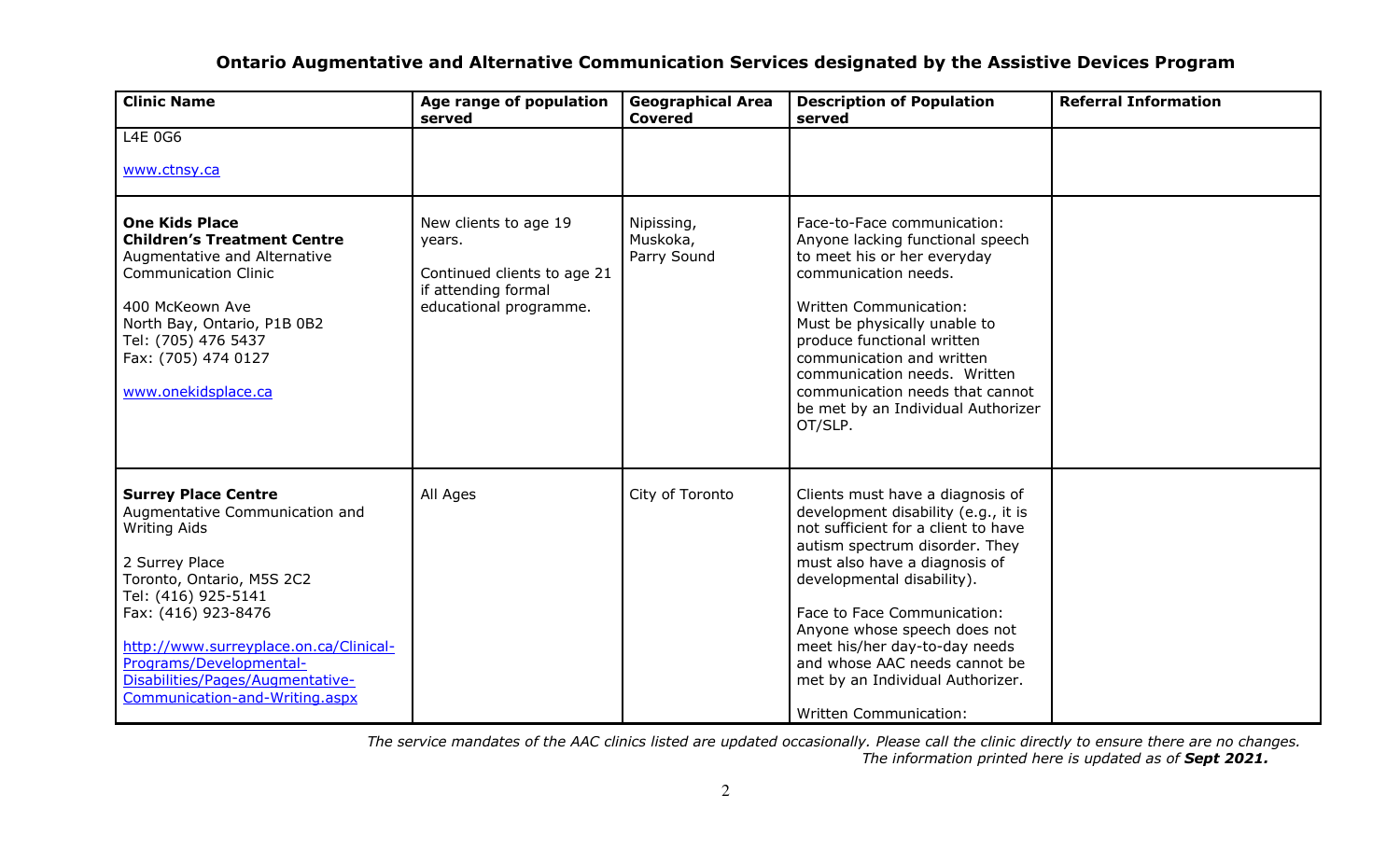| <b>Clinic Name</b>                                                                                                                                                                                                                                                                                                          | Age range of population<br>served                                                                               | <b>Geographical Area</b><br><b>Covered</b> | <b>Description of Population</b><br>served                                                                                                                                                                                                                                                                                                                                                                            | <b>Referral Information</b> |
|-----------------------------------------------------------------------------------------------------------------------------------------------------------------------------------------------------------------------------------------------------------------------------------------------------------------------------|-----------------------------------------------------------------------------------------------------------------|--------------------------------------------|-----------------------------------------------------------------------------------------------------------------------------------------------------------------------------------------------------------------------------------------------------------------------------------------------------------------------------------------------------------------------------------------------------------------------|-----------------------------|
| L4E 0G6                                                                                                                                                                                                                                                                                                                     |                                                                                                                 |                                            |                                                                                                                                                                                                                                                                                                                                                                                                                       |                             |
| www.ctnsy.ca                                                                                                                                                                                                                                                                                                                |                                                                                                                 |                                            |                                                                                                                                                                                                                                                                                                                                                                                                                       |                             |
| <b>One Kids Place</b><br><b>Children's Treatment Centre</b><br>Augmentative and Alternative<br><b>Communication Clinic</b><br>400 McKeown Ave<br>North Bay, Ontario, P1B 0B2<br>Tel: (705) 476 5437<br>Fax: (705) 474 0127<br>www.onekidsplace.ca                                                                           | New clients to age 19<br>years.<br>Continued clients to age 21<br>if attending formal<br>educational programme. | Nipissing,<br>Muskoka,<br>Parry Sound      | Face-to-Face communication:<br>Anyone lacking functional speech<br>to meet his or her everyday<br>communication needs.<br><b>Written Communication:</b><br>Must be physically unable to<br>produce functional written<br>communication and written<br>communication needs. Written<br>communication needs that cannot<br>be met by an Individual Authorizer<br>OT/SLP.                                                |                             |
| <b>Surrey Place Centre</b><br>Augmentative Communication and<br><b>Writing Aids</b><br>2 Surrey Place<br>Toronto, Ontario, M5S 2C2<br>Tel: (416) 925-5141<br>Fax: (416) 923-8476<br>http://www.surreyplace.on.ca/Clinical-<br>Programs/Developmental-<br>Disabilities/Pages/Augmentative-<br>Communication-and-Writing.aspx | All Ages                                                                                                        | City of Toronto                            | Clients must have a diagnosis of<br>development disability (e.g., it is<br>not sufficient for a client to have<br>autism spectrum disorder. They<br>must also have a diagnosis of<br>developmental disability).<br>Face to Face Communication:<br>Anyone whose speech does not<br>meet his/her day-to-day needs<br>and whose AAC needs cannot be<br>met by an Individual Authorizer.<br><b>Written Communication:</b> |                             |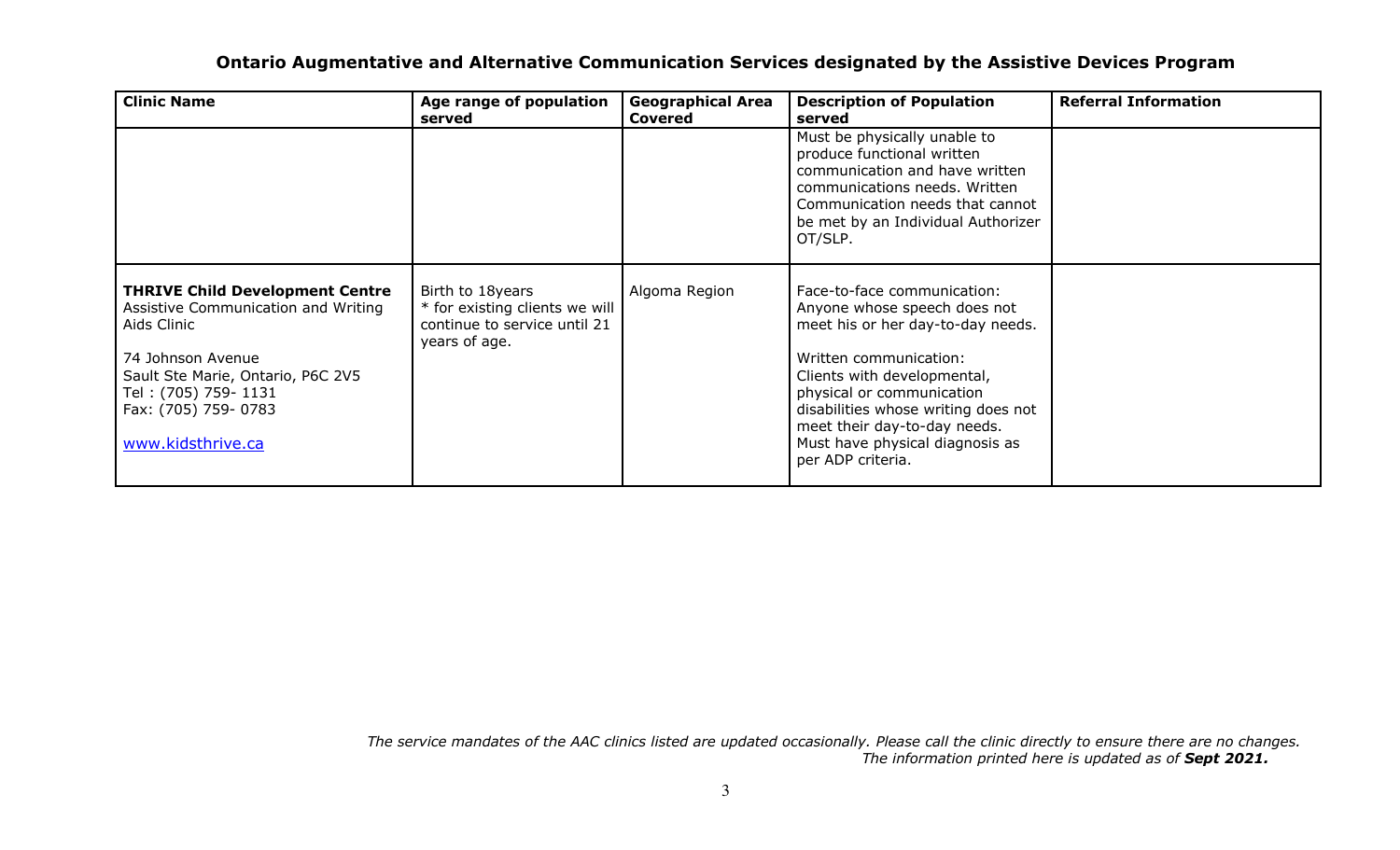| <b>Clinic Name</b>                                                                                                                                                                                                         | Age range of population<br>served                                                                   | <b>Geographical Area</b><br><b>Covered</b> | <b>Description of Population</b><br>served                                                                                                                                                                                                                                                                            | <b>Referral Information</b> |
|----------------------------------------------------------------------------------------------------------------------------------------------------------------------------------------------------------------------------|-----------------------------------------------------------------------------------------------------|--------------------------------------------|-----------------------------------------------------------------------------------------------------------------------------------------------------------------------------------------------------------------------------------------------------------------------------------------------------------------------|-----------------------------|
|                                                                                                                                                                                                                            |                                                                                                     |                                            | Must be physically unable to<br>produce functional written<br>communication and have written<br>communications needs. Written<br>Communication needs that cannot<br>be met by an Individual Authorizer<br>OT/SLP.                                                                                                     |                             |
| <b>THRIVE Child Development Centre</b><br>Assistive Communication and Writing<br>Aids Clinic<br>74 Johnson Avenue<br>Sault Ste Marie, Ontario, P6C 2V5<br>Tel: (705) 759-1131<br>Fax: (705) 759- 0783<br>www.kidsthrive.ca | Birth to 18years<br>* for existing clients we will<br>continue to service until 21<br>years of age. | Algoma Region                              | Face-to-face communication:<br>Anyone whose speech does not<br>meet his or her day-to-day needs.<br>Written communication:<br>Clients with developmental,<br>physical or communication<br>disabilities whose writing does not<br>meet their day-to-day needs.<br>Must have physical diagnosis as<br>per ADP criteria. |                             |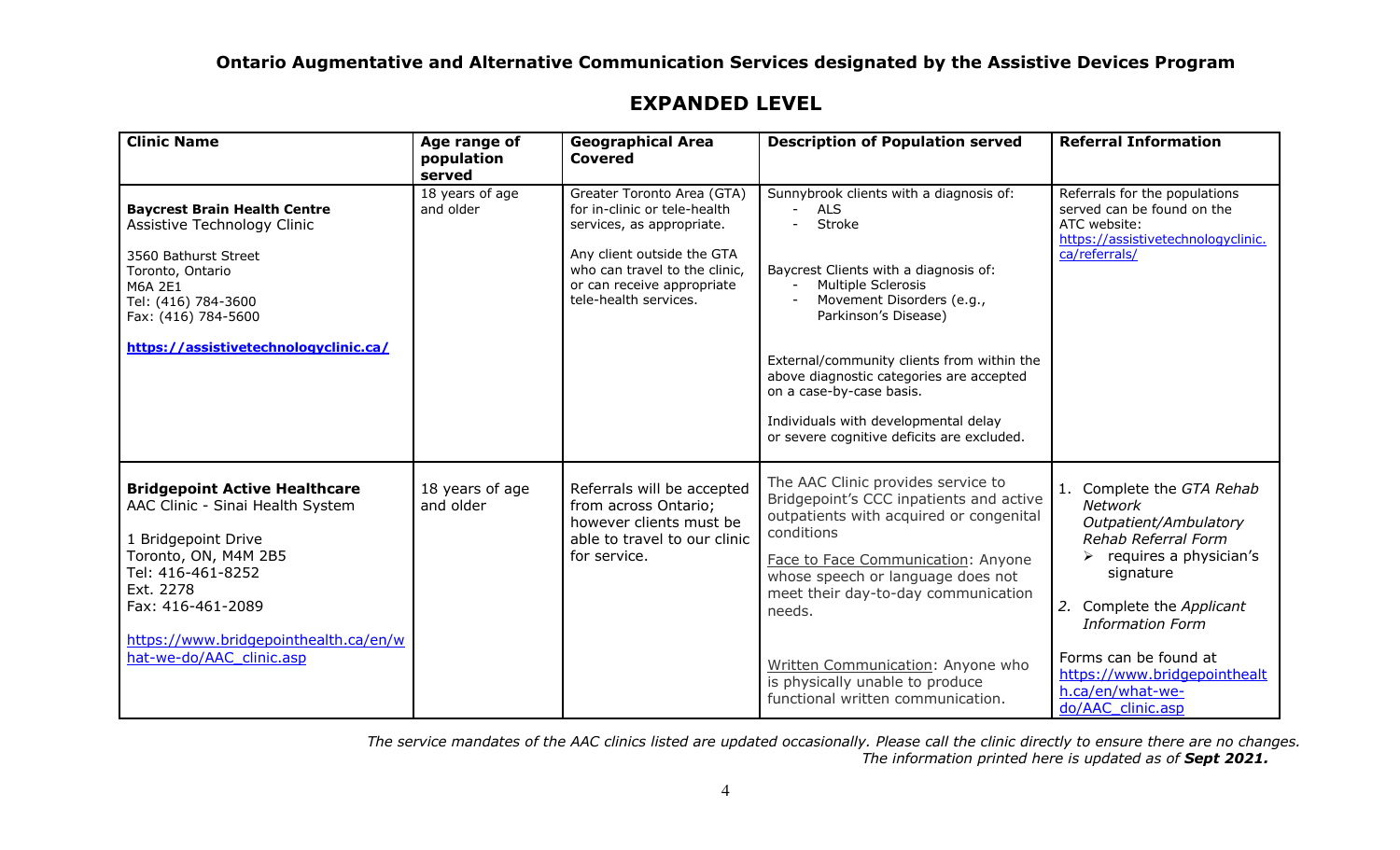| <b>Clinic Name</b>                                                                                                                                                                                                                                  | Age range of<br>population<br>served | <b>Geographical Area</b><br><b>Covered</b>                                                                                                                                                                    | <b>Description of Population served</b>                                                                                                                                                                                                                                                                                                                                                         | <b>Referral Information</b>                                                                                                                                                                                                                                                                                   |
|-----------------------------------------------------------------------------------------------------------------------------------------------------------------------------------------------------------------------------------------------------|--------------------------------------|---------------------------------------------------------------------------------------------------------------------------------------------------------------------------------------------------------------|-------------------------------------------------------------------------------------------------------------------------------------------------------------------------------------------------------------------------------------------------------------------------------------------------------------------------------------------------------------------------------------------------|---------------------------------------------------------------------------------------------------------------------------------------------------------------------------------------------------------------------------------------------------------------------------------------------------------------|
| <b>Baycrest Brain Health Centre</b><br>Assistive Technology Clinic<br>3560 Bathurst Street<br>Toronto, Ontario<br>M6A 2E1<br>Tel: (416) 784-3600<br>Fax: (416) 784-5600<br>https://assistivetechnologyclinic.ca/                                    | 18 years of age<br>and older         | Greater Toronto Area (GTA)<br>for in-clinic or tele-health<br>services, as appropriate.<br>Any client outside the GTA<br>who can travel to the clinic,<br>or can receive appropriate<br>tele-health services. | Sunnybrook clients with a diagnosis of:<br><b>ALS</b><br>Stroke<br>Baycrest Clients with a diagnosis of:<br>Multiple Sclerosis<br>Movement Disorders (e.g.,<br>Parkinson's Disease)<br>External/community clients from within the<br>above diagnostic categories are accepted<br>on a case-by-case basis.<br>Individuals with developmental delay<br>or severe cognitive deficits are excluded. | Referrals for the populations<br>served can be found on the<br>ATC website:<br>https://assistivetechnologyclinic.<br>ca/referrals/                                                                                                                                                                            |
| <b>Bridgepoint Active Healthcare</b><br>AAC Clinic - Sinai Health System<br>1 Bridgepoint Drive<br>Toronto, ON, M4M 2B5<br>Tel: 416-461-8252<br>Ext. 2278<br>Fax: 416-461-2089<br>https://www.bridgepointhealth.ca/en/w<br>hat-we-do/AAC clinic.asp | 18 years of age<br>and older         | Referrals will be accepted<br>from across Ontario;<br>however clients must be<br>able to travel to our clinic<br>for service.                                                                                 | The AAC Clinic provides service to<br>Bridgepoint's CCC inpatients and active<br>outpatients with acquired or congenital<br>conditions<br>Face to Face Communication: Anyone<br>whose speech or language does not<br>meet their day-to-day communication<br>needs.<br>Written Communication: Anyone who<br>is physically unable to produce<br>functional written communication.                 | 1. Complete the GTA Rehab<br><b>Network</b><br>Outpatient/Ambulatory<br>Rehab Referral Form<br>$\triangleright$ requires a physician's<br>signature<br>2. Complete the Applicant<br><b>Information Form</b><br>Forms can be found at<br>https://www.bridgepointhealt<br>h.ca/en/what-we-<br>do/AAC clinic.asp |

## **EXPANDED LEVEL**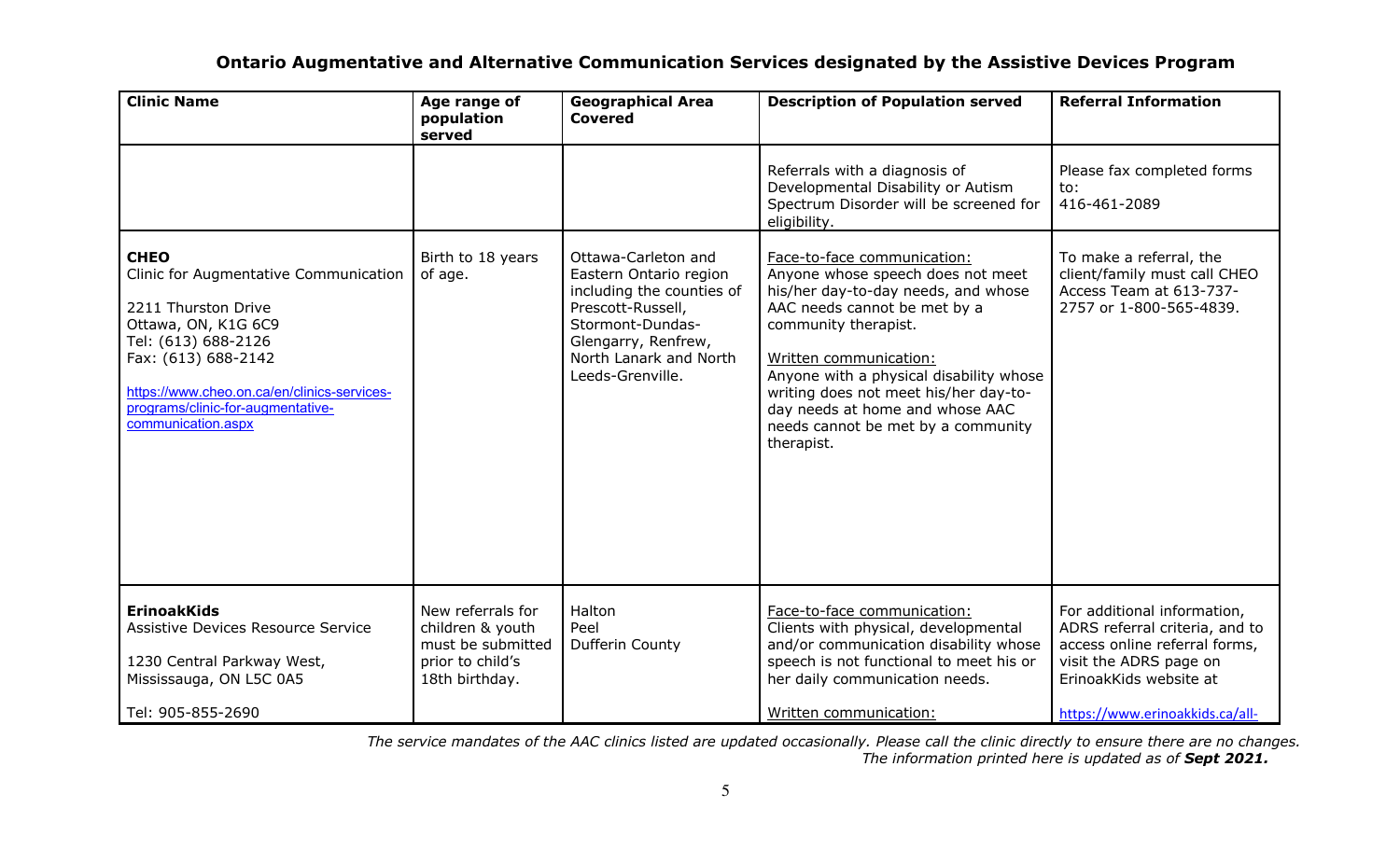| <b>Clinic Name</b>                                                                                                                                                                                                                                         | Age range of<br>population<br>served                                                             | <b>Geographical Area</b><br><b>Covered</b>                                                                                                                                               | <b>Description of Population served</b>                                                                                                                                                                                                                                                                                                                              | <b>Referral Information</b>                                                                                                                                                           |
|------------------------------------------------------------------------------------------------------------------------------------------------------------------------------------------------------------------------------------------------------------|--------------------------------------------------------------------------------------------------|------------------------------------------------------------------------------------------------------------------------------------------------------------------------------------------|----------------------------------------------------------------------------------------------------------------------------------------------------------------------------------------------------------------------------------------------------------------------------------------------------------------------------------------------------------------------|---------------------------------------------------------------------------------------------------------------------------------------------------------------------------------------|
|                                                                                                                                                                                                                                                            |                                                                                                  |                                                                                                                                                                                          | Referrals with a diagnosis of<br>Developmental Disability or Autism<br>Spectrum Disorder will be screened for<br>eligibility.                                                                                                                                                                                                                                        | Please fax completed forms<br>to:<br>416-461-2089                                                                                                                                     |
| <b>CHEO</b><br>Clinic for Augmentative Communication<br>2211 Thurston Drive<br>Ottawa, ON, K1G 6C9<br>Tel: (613) 688-2126<br>Fax: (613) 688-2142<br>https://www.cheo.on.ca/en/clinics-services-<br>programs/clinic-for-augmentative-<br>communication.aspx | Birth to 18 years<br>of age.                                                                     | Ottawa-Carleton and<br>Eastern Ontario region<br>including the counties of<br>Prescott-Russell,<br>Stormont-Dundas-<br>Glengarry, Renfrew,<br>North Lanark and North<br>Leeds-Grenville. | Face-to-face communication:<br>Anyone whose speech does not meet<br>his/her day-to-day needs, and whose<br>AAC needs cannot be met by a<br>community therapist.<br>Written communication:<br>Anyone with a physical disability whose<br>writing does not meet his/her day-to-<br>day needs at home and whose AAC<br>needs cannot be met by a community<br>therapist. | To make a referral, the<br>client/family must call CHEO<br>Access Team at 613-737-<br>2757 or 1-800-565-4839.                                                                         |
| <b>ErinoakKids</b><br>Assistive Devices Resource Service<br>1230 Central Parkway West,<br>Mississauga, ON L5C 0A5<br>Tel: 905-855-2690                                                                                                                     | New referrals for<br>children & youth<br>must be submitted<br>prior to child's<br>18th birthday. | Halton<br>Peel<br>Dufferin County                                                                                                                                                        | Face-to-face communication:<br>Clients with physical, developmental<br>and/or communication disability whose<br>speech is not functional to meet his or<br>her daily communication needs.<br>Written communication:                                                                                                                                                  | For additional information,<br>ADRS referral criteria, and to<br>access online referral forms,<br>visit the ADRS page on<br>ErinoakKids website at<br>https://www.erinoakkids.ca/all- |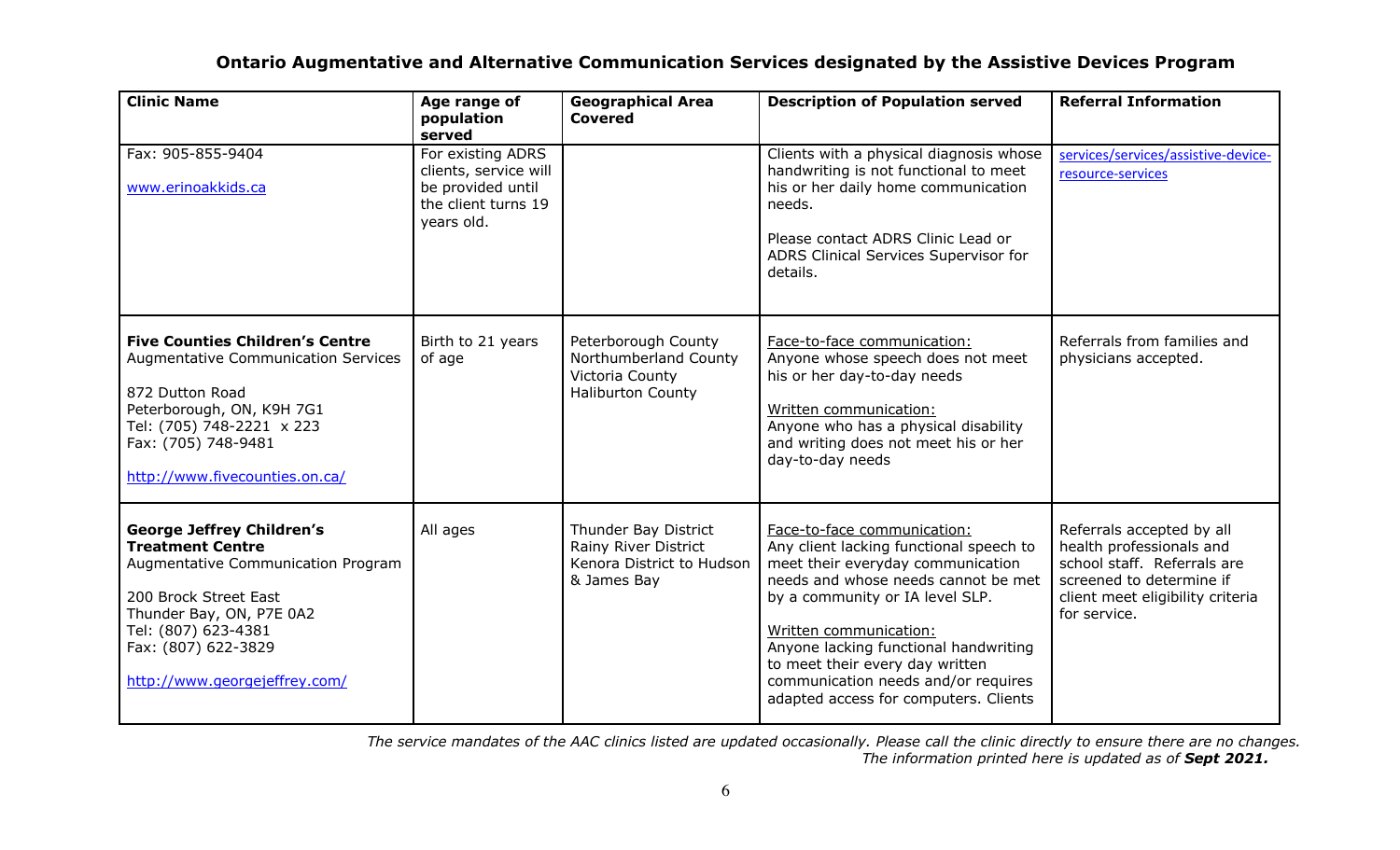| <b>Clinic Name</b>                                                                                                                                                                                                                    | Age range of<br>population<br>served                                                                 | <b>Geographical Area</b><br><b>Covered</b>                                                  | <b>Description of Population served</b>                                                                                                                                                                                                                                                                                                                                     | <b>Referral Information</b>                                                                                                                                          |
|---------------------------------------------------------------------------------------------------------------------------------------------------------------------------------------------------------------------------------------|------------------------------------------------------------------------------------------------------|---------------------------------------------------------------------------------------------|-----------------------------------------------------------------------------------------------------------------------------------------------------------------------------------------------------------------------------------------------------------------------------------------------------------------------------------------------------------------------------|----------------------------------------------------------------------------------------------------------------------------------------------------------------------|
| Fax: 905-855-9404<br>www.erinoakkids.ca                                                                                                                                                                                               | For existing ADRS<br>clients, service will<br>be provided until<br>the client turns 19<br>years old. |                                                                                             | Clients with a physical diagnosis whose<br>handwriting is not functional to meet<br>his or her daily home communication<br>needs.<br>Please contact ADRS Clinic Lead or<br>ADRS Clinical Services Supervisor for<br>details.                                                                                                                                                | services/services/assistive-device-<br>resource-services                                                                                                             |
| <b>Five Counties Children's Centre</b><br><b>Augmentative Communication Services</b><br>872 Dutton Road<br>Peterborough, ON, K9H 7G1<br>Tel: (705) 748-2221 x 223<br>Fax: (705) 748-9481<br>http://www.fivecounties.on.ca/            | Birth to 21 years<br>of age                                                                          | Peterborough County<br>Northumberland County<br>Victoria County<br><b>Haliburton County</b> | Face-to-face communication:<br>Anyone whose speech does not meet<br>his or her day-to-day needs<br>Written communication:<br>Anyone who has a physical disability<br>and writing does not meet his or her<br>day-to-day needs                                                                                                                                               | Referrals from families and<br>physicians accepted.                                                                                                                  |
| <b>George Jeffrey Children's</b><br><b>Treatment Centre</b><br>Augmentative Communication Program<br>200 Brock Street East<br>Thunder Bay, ON, P7E 0A2<br>Tel: (807) 623-4381<br>Fax: (807) 622-3829<br>http://www.georgejeffrey.com/ | All ages                                                                                             | Thunder Bay District<br>Rainy River District<br>Kenora District to Hudson<br>& James Bay    | Face-to-face communication:<br>Any client lacking functional speech to<br>meet their everyday communication<br>needs and whose needs cannot be met<br>by a community or IA level SLP.<br>Written communication:<br>Anyone lacking functional handwriting<br>to meet their every day written<br>communication needs and/or requires<br>adapted access for computers. Clients | Referrals accepted by all<br>health professionals and<br>school staff. Referrals are<br>screened to determine if<br>client meet eligibility criteria<br>for service. |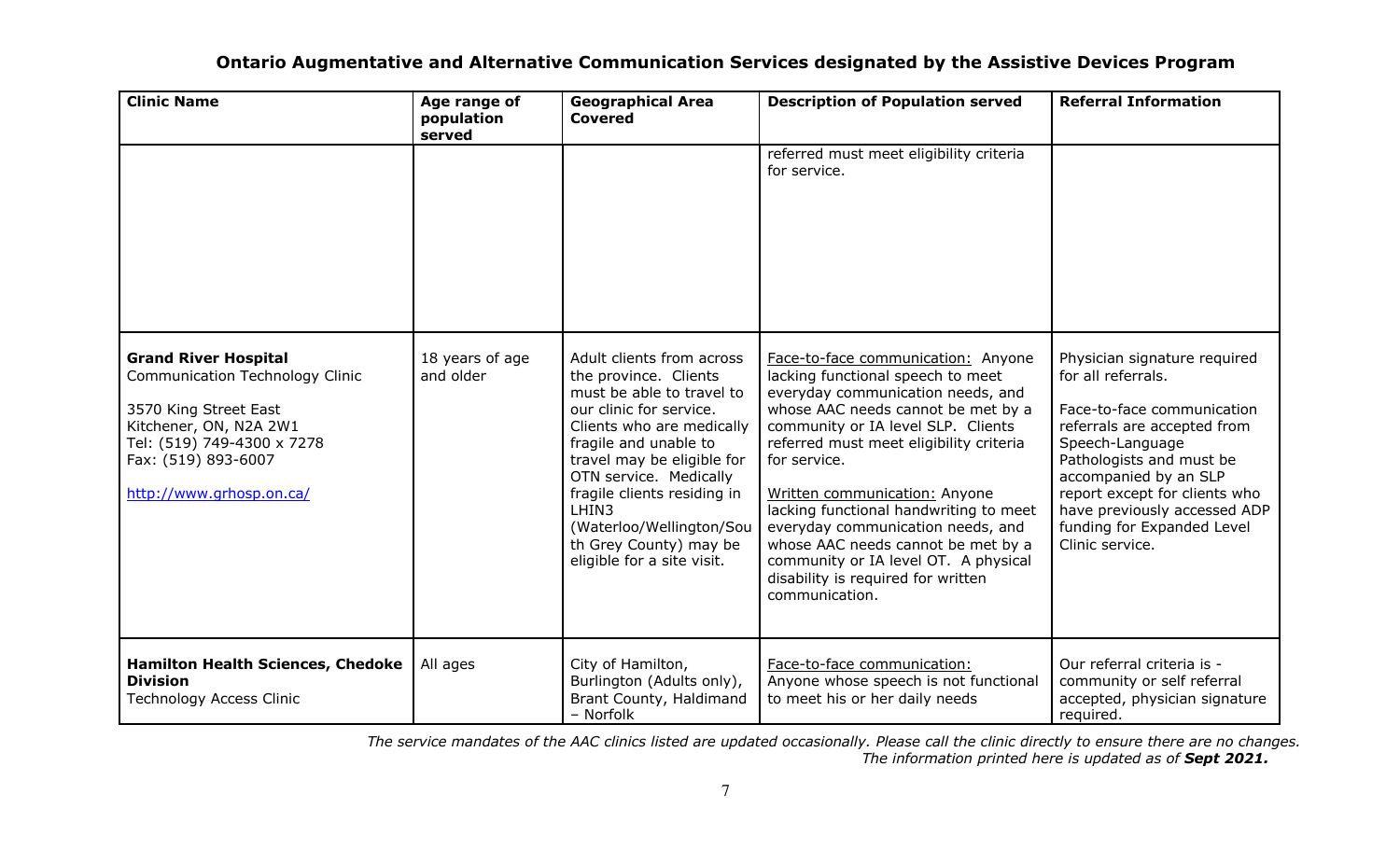| <b>Clinic Name</b>                                                                                                                                                                                        | Age range of<br>population<br>served | <b>Geographical Area</b><br><b>Covered</b>                                                                                                                                                                                                                                                                                                           | <b>Description of Population served</b>                                                                                                                                                                                                                                                                                                                                                                                                                                                                   | <b>Referral Information</b>                                                                                                                                                                                                                                                                               |
|-----------------------------------------------------------------------------------------------------------------------------------------------------------------------------------------------------------|--------------------------------------|------------------------------------------------------------------------------------------------------------------------------------------------------------------------------------------------------------------------------------------------------------------------------------------------------------------------------------------------------|-----------------------------------------------------------------------------------------------------------------------------------------------------------------------------------------------------------------------------------------------------------------------------------------------------------------------------------------------------------------------------------------------------------------------------------------------------------------------------------------------------------|-----------------------------------------------------------------------------------------------------------------------------------------------------------------------------------------------------------------------------------------------------------------------------------------------------------|
|                                                                                                                                                                                                           |                                      |                                                                                                                                                                                                                                                                                                                                                      | referred must meet eligibility criteria<br>for service.                                                                                                                                                                                                                                                                                                                                                                                                                                                   |                                                                                                                                                                                                                                                                                                           |
| <b>Grand River Hospital</b><br><b>Communication Technology Clinic</b><br>3570 King Street East<br>Kitchener, ON, N2A 2W1<br>Tel: (519) 749-4300 x 7278<br>Fax: (519) 893-6007<br>http://www.grhosp.on.ca/ | 18 years of age<br>and older         | Adult clients from across<br>the province. Clients<br>must be able to travel to<br>our clinic for service.<br>Clients who are medically<br>fragile and unable to<br>travel may be eligible for<br>OTN service. Medically<br>fragile clients residing in<br>LHIN3<br>(Waterloo/Wellington/Sou<br>th Grey County) may be<br>eligible for a site visit. | Face-to-face communication: Anyone<br>lacking functional speech to meet<br>everyday communication needs, and<br>whose AAC needs cannot be met by a<br>community or IA level SLP. Clients<br>referred must meet eligibility criteria<br>for service.<br>Written communication: Anyone<br>lacking functional handwriting to meet<br>everyday communication needs, and<br>whose AAC needs cannot be met by a<br>community or IA level OT. A physical<br>disability is required for written<br>communication. | Physician signature required<br>for all referrals.<br>Face-to-face communication<br>referrals are accepted from<br>Speech-Language<br>Pathologists and must be<br>accompanied by an SLP<br>report except for clients who<br>have previously accessed ADP<br>funding for Expanded Level<br>Clinic service. |
| <b>Hamilton Health Sciences, Chedoke</b><br><b>Division</b><br><b>Technology Access Clinic</b>                                                                                                            | All ages                             | City of Hamilton,<br>Burlington (Adults only),<br>Brant County, Haldimand<br>- Norfolk                                                                                                                                                                                                                                                               | Face-to-face communication:<br>Anyone whose speech is not functional<br>to meet his or her daily needs                                                                                                                                                                                                                                                                                                                                                                                                    | Our referral criteria is -<br>community or self referral<br>accepted, physician signature<br>required.                                                                                                                                                                                                    |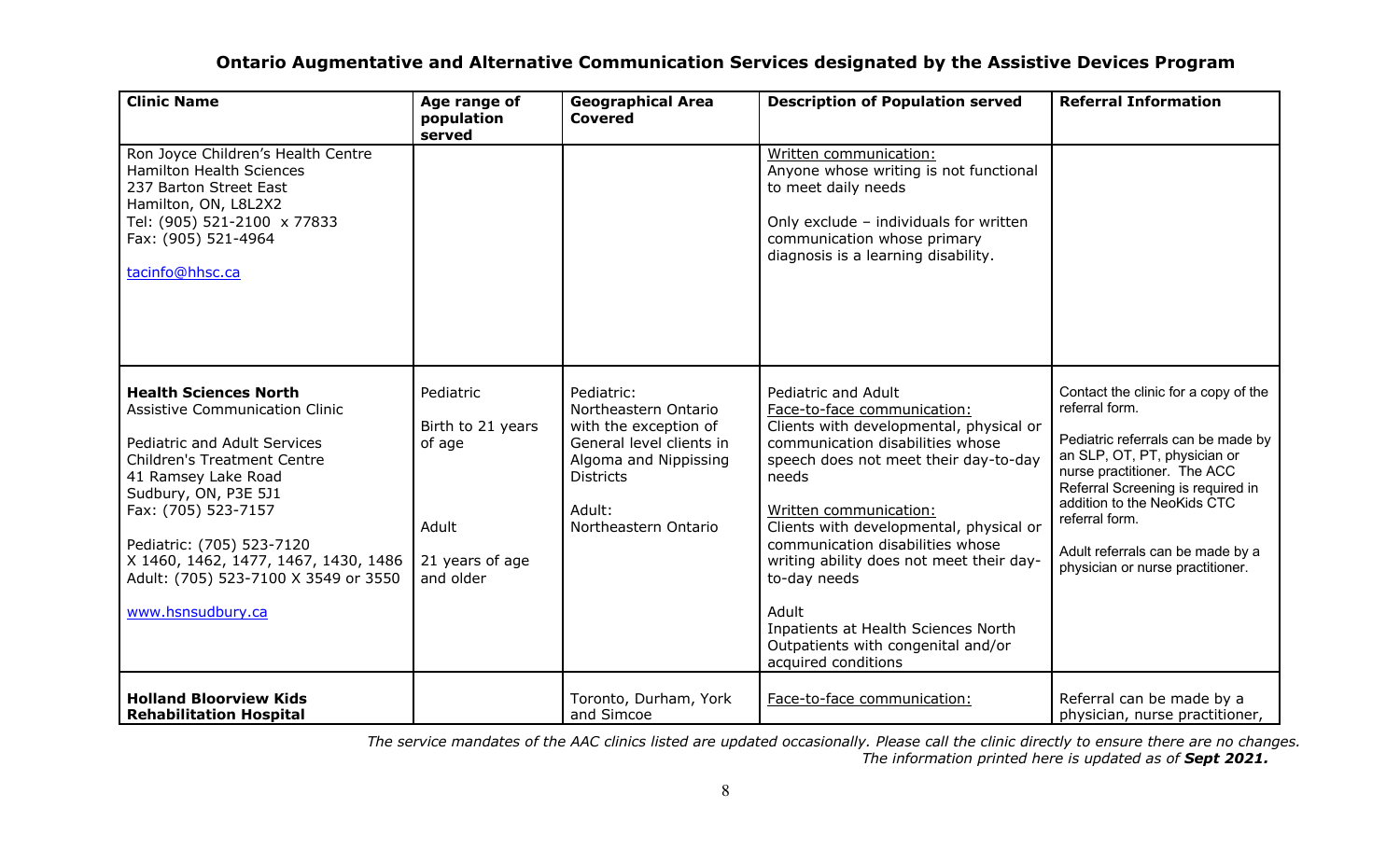| <b>Clinic Name</b>                                                                                                                                                                                                                                                                                                                                  | Age range of<br>population<br>served                                              | <b>Geographical Area</b><br><b>Covered</b>                                                                                                                             | <b>Description of Population served</b>                                                                                                                                                                                                                                                                                                                                                                                                                               | <b>Referral Information</b>                                                                                                                                                                                                                                                                                               |
|-----------------------------------------------------------------------------------------------------------------------------------------------------------------------------------------------------------------------------------------------------------------------------------------------------------------------------------------------------|-----------------------------------------------------------------------------------|------------------------------------------------------------------------------------------------------------------------------------------------------------------------|-----------------------------------------------------------------------------------------------------------------------------------------------------------------------------------------------------------------------------------------------------------------------------------------------------------------------------------------------------------------------------------------------------------------------------------------------------------------------|---------------------------------------------------------------------------------------------------------------------------------------------------------------------------------------------------------------------------------------------------------------------------------------------------------------------------|
| Ron Joyce Children's Health Centre<br><b>Hamilton Health Sciences</b><br>237 Barton Street East<br>Hamilton, ON, L8L2X2<br>Tel: (905) 521-2100 x 77833<br>Fax: (905) 521-4964<br>tacinfo@hhsc.ca                                                                                                                                                    |                                                                                   |                                                                                                                                                                        | Written communication:<br>Anyone whose writing is not functional<br>to meet daily needs<br>Only exclude - individuals for written<br>communication whose primary<br>diagnosis is a learning disability.                                                                                                                                                                                                                                                               |                                                                                                                                                                                                                                                                                                                           |
| <b>Health Sciences North</b><br><b>Assistive Communication Clinic</b><br>Pediatric and Adult Services<br><b>Children's Treatment Centre</b><br>41 Ramsey Lake Road<br>Sudbury, ON, P3E 5J1<br>Fax: (705) 523-7157<br>Pediatric: (705) 523-7120<br>X 1460, 1462, 1477, 1467, 1430, 1486<br>Adult: (705) 523-7100 X 3549 or 3550<br>www.hsnsudbury.ca | Pediatric<br>Birth to 21 years<br>of age<br>Adult<br>21 years of age<br>and older | Pediatric:<br>Northeastern Ontario<br>with the exception of<br>General level clients in<br>Algoma and Nippissing<br><b>Districts</b><br>Adult:<br>Northeastern Ontario | Pediatric and Adult<br>Face-to-face communication:<br>Clients with developmental, physical or<br>communication disabilities whose<br>speech does not meet their day-to-day<br>needs<br>Written communication:<br>Clients with developmental, physical or<br>communication disabilities whose<br>writing ability does not meet their day-<br>to-day needs<br>Adult<br>Inpatients at Health Sciences North<br>Outpatients with congenital and/or<br>acquired conditions | Contact the clinic for a copy of the<br>referral form.<br>Pediatric referrals can be made by<br>an SLP, OT, PT, physician or<br>nurse practitioner. The ACC<br>Referral Screening is required in<br>addition to the NeoKids CTC<br>referral form.<br>Adult referrals can be made by a<br>physician or nurse practitioner. |
| <b>Holland Bloorview Kids</b><br><b>Rehabilitation Hospital</b>                                                                                                                                                                                                                                                                                     |                                                                                   | Toronto, Durham, York<br>and Simcoe                                                                                                                                    | Face-to-face communication:                                                                                                                                                                                                                                                                                                                                                                                                                                           | Referral can be made by a<br>physician, nurse practitioner,                                                                                                                                                                                                                                                               |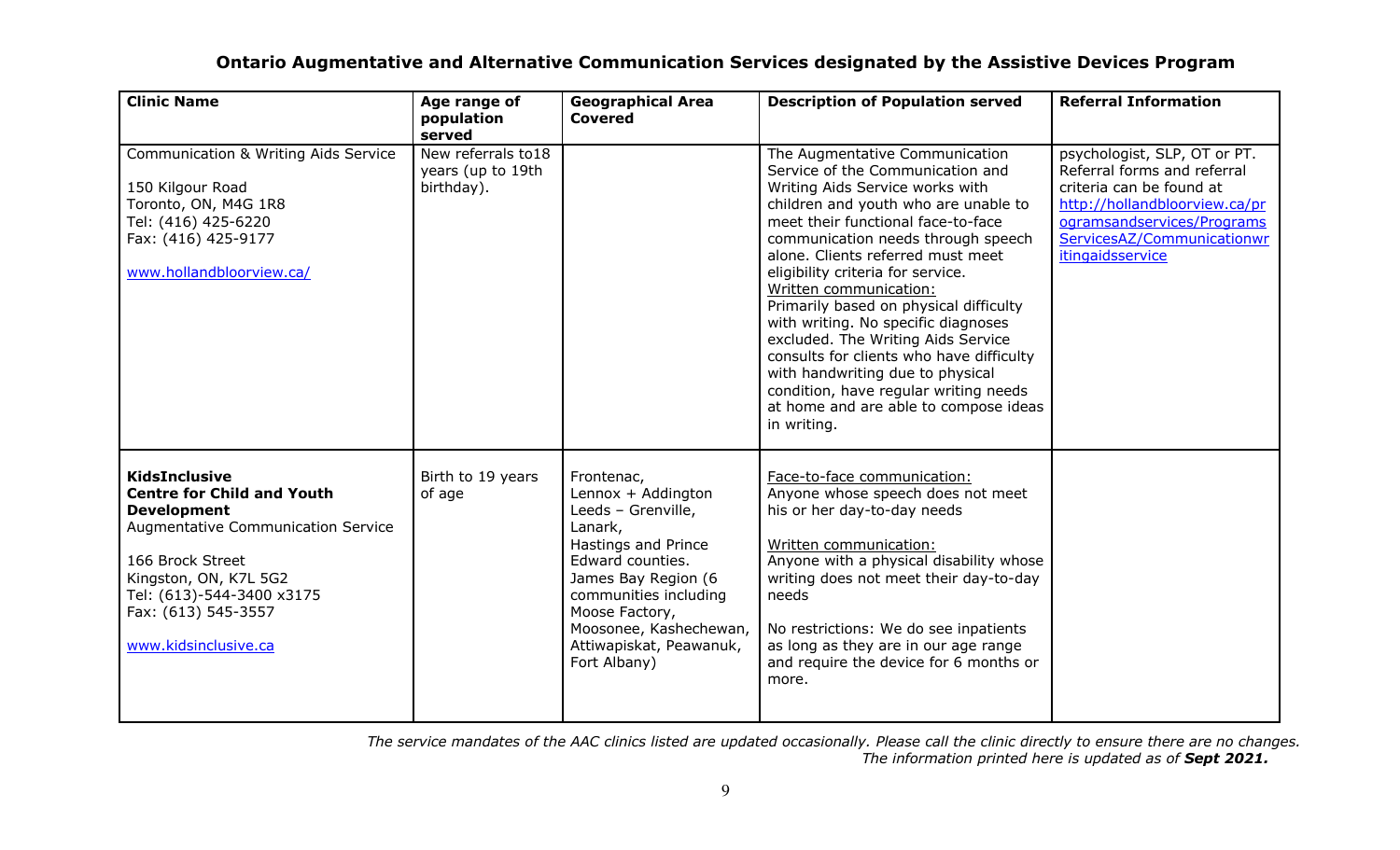| <b>Clinic Name</b>                                                                                                                                                                                                                             | Age range of<br>population                                       | <b>Geographical Area</b><br><b>Covered</b>                                                                                                                                                                                                          | <b>Description of Population served</b>                                                                                                                                                                                                                                                                                                                                                                                                                                                                                                                                                                                               | <b>Referral Information</b>                                                                                                                                                                              |
|------------------------------------------------------------------------------------------------------------------------------------------------------------------------------------------------------------------------------------------------|------------------------------------------------------------------|-----------------------------------------------------------------------------------------------------------------------------------------------------------------------------------------------------------------------------------------------------|---------------------------------------------------------------------------------------------------------------------------------------------------------------------------------------------------------------------------------------------------------------------------------------------------------------------------------------------------------------------------------------------------------------------------------------------------------------------------------------------------------------------------------------------------------------------------------------------------------------------------------------|----------------------------------------------------------------------------------------------------------------------------------------------------------------------------------------------------------|
| <b>Communication &amp; Writing Aids Service</b><br>150 Kilgour Road<br>Toronto, ON, M4G 1R8<br>Tel: (416) 425-6220<br>Fax: (416) 425-9177<br>www.hollandbloorview.ca/                                                                          | served<br>New referrals to 18<br>years (up to 19th<br>birthday). |                                                                                                                                                                                                                                                     | The Augmentative Communication<br>Service of the Communication and<br>Writing Aids Service works with<br>children and youth who are unable to<br>meet their functional face-to-face<br>communication needs through speech<br>alone. Clients referred must meet<br>eligibility criteria for service.<br>Written communication:<br>Primarily based on physical difficulty<br>with writing. No specific diagnoses<br>excluded. The Writing Aids Service<br>consults for clients who have difficulty<br>with handwriting due to physical<br>condition, have regular writing needs<br>at home and are able to compose ideas<br>in writing. | psychologist, SLP, OT or PT.<br>Referral forms and referral<br>criteria can be found at<br>http://hollandbloorview.ca/pr<br>ogramsandservices/Programs<br>ServicesAZ/Communicationwr<br>itingaidsservice |
| <b>KidsInclusive</b><br><b>Centre for Child and Youth</b><br><b>Development</b><br>Augmentative Communication Service<br>166 Brock Street<br>Kingston, ON, K7L 5G2<br>Tel: (613)-544-3400 x3175<br>Fax: (613) 545-3557<br>www.kidsinclusive.ca | Birth to 19 years<br>of age                                      | Frontenac,<br>Lennox + Addington<br>Leeds - Grenville,<br>Lanark,<br>Hastings and Prince<br>Edward counties.<br>James Bay Region (6<br>communities including<br>Moose Factory,<br>Moosonee, Kashechewan,<br>Attiwapiskat, Peawanuk,<br>Fort Albany) | Face-to-face communication:<br>Anyone whose speech does not meet<br>his or her day-to-day needs<br>Written communication:<br>Anyone with a physical disability whose<br>writing does not meet their day-to-day<br>needs<br>No restrictions: We do see inpatients<br>as long as they are in our age range<br>and require the device for 6 months or<br>more.                                                                                                                                                                                                                                                                           |                                                                                                                                                                                                          |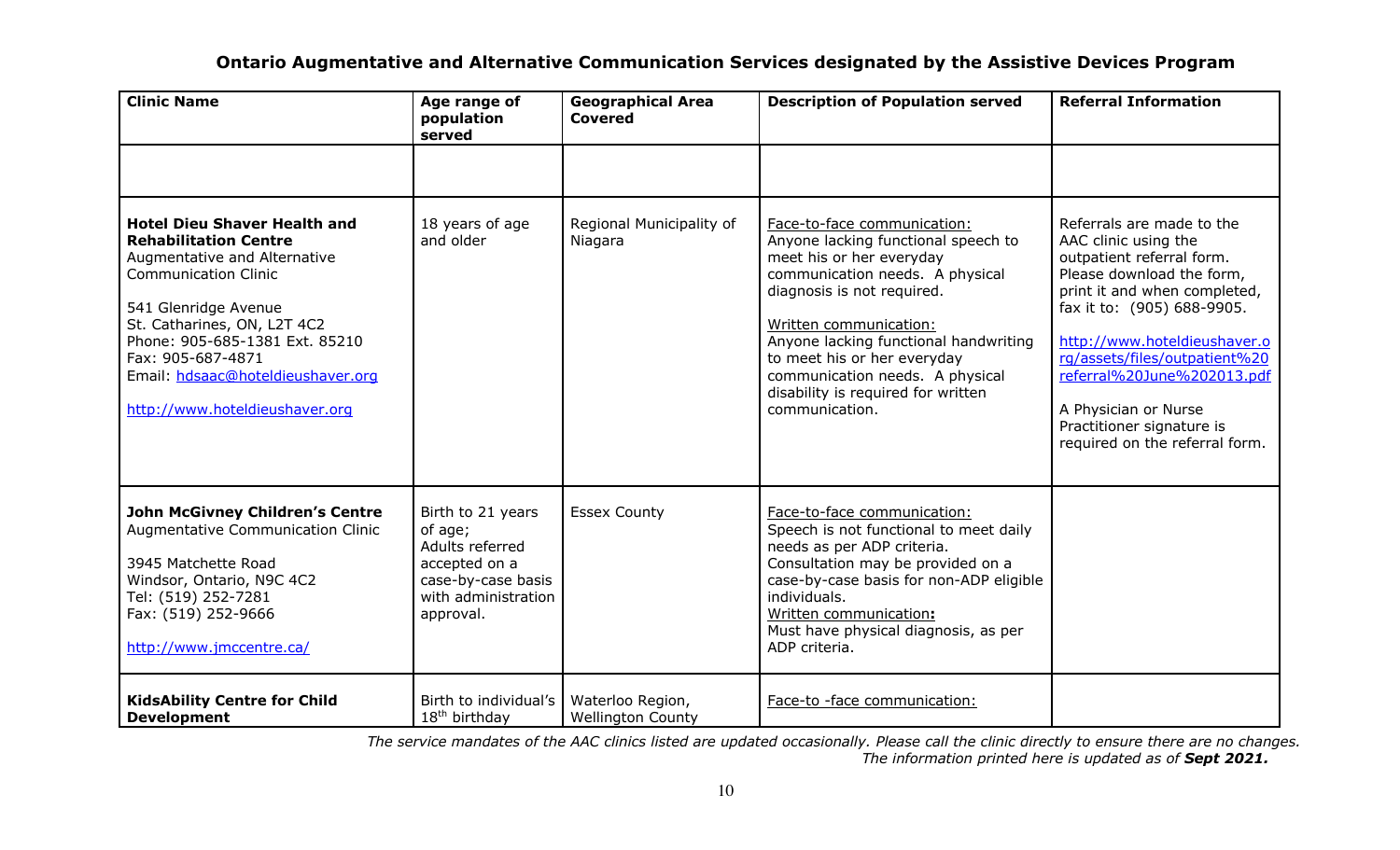| <b>Clinic Name</b>                                                                                                                                                                                                                                                                                                      | Age range of<br>population<br>served                                                                                       | <b>Geographical Area</b><br><b>Covered</b>   | <b>Description of Population served</b>                                                                                                                                                                                                                                                                                                                      | <b>Referral Information</b>                                                                                                                                                                                                                                                                                                                                     |
|-------------------------------------------------------------------------------------------------------------------------------------------------------------------------------------------------------------------------------------------------------------------------------------------------------------------------|----------------------------------------------------------------------------------------------------------------------------|----------------------------------------------|--------------------------------------------------------------------------------------------------------------------------------------------------------------------------------------------------------------------------------------------------------------------------------------------------------------------------------------------------------------|-----------------------------------------------------------------------------------------------------------------------------------------------------------------------------------------------------------------------------------------------------------------------------------------------------------------------------------------------------------------|
|                                                                                                                                                                                                                                                                                                                         |                                                                                                                            |                                              |                                                                                                                                                                                                                                                                                                                                                              |                                                                                                                                                                                                                                                                                                                                                                 |
| <b>Hotel Dieu Shaver Health and</b><br><b>Rehabilitation Centre</b><br>Augmentative and Alternative<br><b>Communication Clinic</b><br>541 Glenridge Avenue<br>St. Catharines, ON, L2T 4C2<br>Phone: 905-685-1381 Ext. 85210<br>Fax: 905-687-4871<br>Email: hdsaac@hoteldieushaver.org<br>http://www.hoteldieushaver.org | 18 years of age<br>and older                                                                                               | Regional Municipality of<br>Niagara          | Face-to-face communication:<br>Anyone lacking functional speech to<br>meet his or her everyday<br>communication needs. A physical<br>diagnosis is not required.<br>Written communication:<br>Anyone lacking functional handwriting<br>to meet his or her everyday<br>communication needs. A physical<br>disability is required for written<br>communication. | Referrals are made to the<br>AAC clinic using the<br>outpatient referral form.<br>Please download the form,<br>print it and when completed,<br>fax it to: (905) 688-9905.<br>http://www.hoteldieushaver.o<br>rg/assets/files/outpatient%20<br>referral%20June%202013.pdf<br>A Physician or Nurse<br>Practitioner signature is<br>required on the referral form. |
| <b>John McGivney Children's Centre</b><br>Augmentative Communication Clinic<br>3945 Matchette Road<br>Windsor, Ontario, N9C 4C2<br>Tel: (519) 252-7281<br>Fax: (519) 252-9666<br>http://www.jmccentre.ca/                                                                                                               | Birth to 21 years<br>of age;<br>Adults referred<br>accepted on a<br>case-by-case basis<br>with administration<br>approval. | <b>Essex County</b>                          | Face-to-face communication:<br>Speech is not functional to meet daily<br>needs as per ADP criteria.<br>Consultation may be provided on a<br>case-by-case basis for non-ADP eligible<br>individuals.<br>Written communication:<br>Must have physical diagnosis, as per<br>ADP criteria.                                                                       |                                                                                                                                                                                                                                                                                                                                                                 |
| <b>KidsAbility Centre for Child</b><br><b>Development</b>                                                                                                                                                                                                                                                               | Birth to individual's<br>18 <sup>th</sup> birthday                                                                         | Waterloo Region,<br><b>Wellington County</b> | Face-to -face communication:                                                                                                                                                                                                                                                                                                                                 |                                                                                                                                                                                                                                                                                                                                                                 |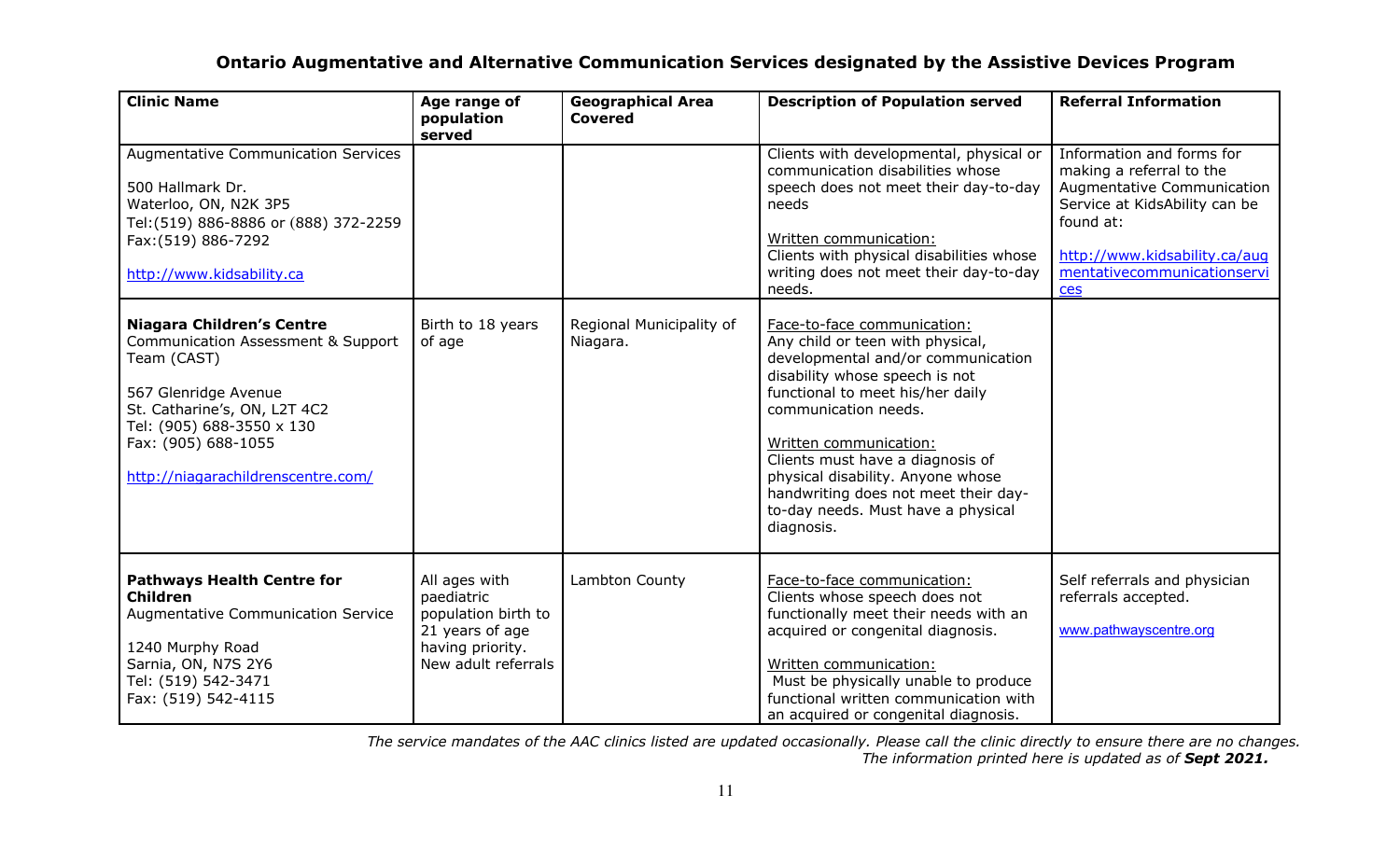| <b>Clinic Name</b>                                                                                                                                                                                                                      | Age range of<br>population<br>served                                                                             | <b>Geographical Area</b><br><b>Covered</b> | <b>Description of Population served</b>                                                                                                                                                                                                                                                                                                                                                            | <b>Referral Information</b>                                                                                                                                                                              |
|-----------------------------------------------------------------------------------------------------------------------------------------------------------------------------------------------------------------------------------------|------------------------------------------------------------------------------------------------------------------|--------------------------------------------|----------------------------------------------------------------------------------------------------------------------------------------------------------------------------------------------------------------------------------------------------------------------------------------------------------------------------------------------------------------------------------------------------|----------------------------------------------------------------------------------------------------------------------------------------------------------------------------------------------------------|
| <b>Augmentative Communication Services</b><br>500 Hallmark Dr.<br>Waterloo, ON, N2K 3P5<br>Tel: (519) 886-8886 or (888) 372-2259<br>Fax: (519) 886-7292<br>http://www.kidsability.ca                                                    |                                                                                                                  |                                            | Clients with developmental, physical or<br>communication disabilities whose<br>speech does not meet their day-to-day<br>needs<br>Written communication:<br>Clients with physical disabilities whose<br>writing does not meet their day-to-day<br>needs.                                                                                                                                            | Information and forms for<br>making a referral to the<br>Augmentative Communication<br>Service at KidsAbility can be<br>found at:<br>http://www.kidsability.ca/aug<br>mentativecommunicationservi<br>ces |
| <b>Niagara Children's Centre</b><br>Communication Assessment & Support<br>Team (CAST)<br>567 Glenridge Avenue<br>St. Catharine's, ON, L2T 4C2<br>Tel: (905) 688-3550 x 130<br>Fax: (905) 688-1055<br>http://niagarachildrenscentre.com/ | Birth to 18 years<br>of age                                                                                      | Regional Municipality of<br>Niagara.       | Face-to-face communication:<br>Any child or teen with physical,<br>developmental and/or communication<br>disability whose speech is not<br>functional to meet his/her daily<br>communication needs.<br>Written communication:<br>Clients must have a diagnosis of<br>physical disability. Anyone whose<br>handwriting does not meet their day-<br>to-day needs. Must have a physical<br>diagnosis. |                                                                                                                                                                                                          |
| <b>Pathways Health Centre for</b><br><b>Children</b><br><b>Augmentative Communication Service</b><br>1240 Murphy Road<br>Sarnia, ON, N7S 2Y6<br>Tel: (519) 542-3471<br>Fax: (519) 542-4115                                              | All ages with<br>paediatric<br>population birth to<br>21 years of age<br>having priority.<br>New adult referrals | Lambton County                             | Face-to-face communication:<br>Clients whose speech does not<br>functionally meet their needs with an<br>acquired or congenital diagnosis.<br>Written communication:<br>Must be physically unable to produce<br>functional written communication with<br>an acquired or congenital diagnosis.                                                                                                      | Self referrals and physician<br>referrals accepted.<br>www.pathwayscentre.org                                                                                                                            |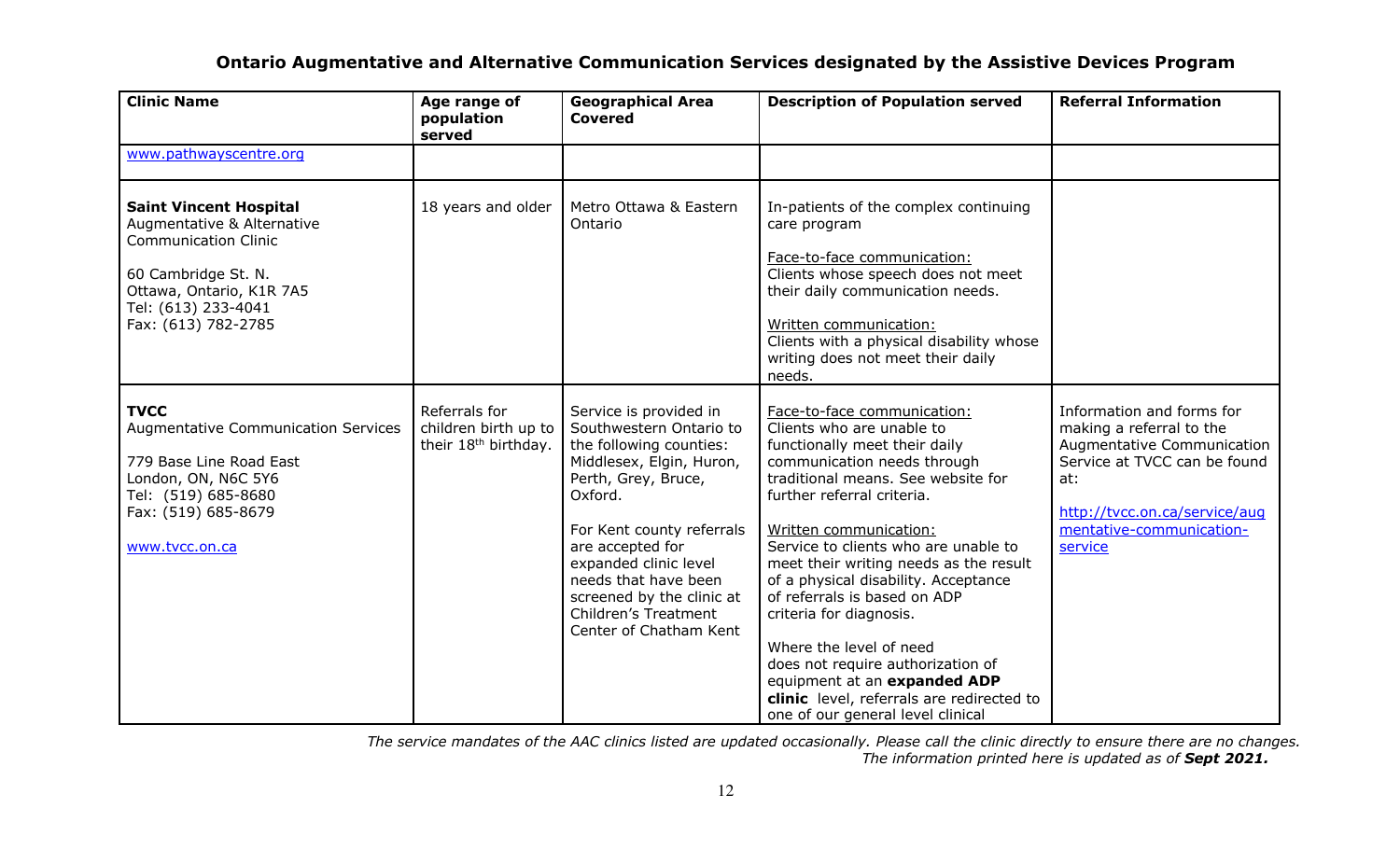| <b>Clinic Name</b>                                                                                                                                                                          | Age range of<br>population<br>served                                      | <b>Geographical Area</b><br><b>Covered</b>                                                                                                                                                                                                                                                                                  | <b>Description of Population served</b>                                                                                                                                                                                                                                                                                                                                                                                                                                                                                                                                                       | <b>Referral Information</b>                                                                                                                                                                        |
|---------------------------------------------------------------------------------------------------------------------------------------------------------------------------------------------|---------------------------------------------------------------------------|-----------------------------------------------------------------------------------------------------------------------------------------------------------------------------------------------------------------------------------------------------------------------------------------------------------------------------|-----------------------------------------------------------------------------------------------------------------------------------------------------------------------------------------------------------------------------------------------------------------------------------------------------------------------------------------------------------------------------------------------------------------------------------------------------------------------------------------------------------------------------------------------------------------------------------------------|----------------------------------------------------------------------------------------------------------------------------------------------------------------------------------------------------|
| www.pathwayscentre.org                                                                                                                                                                      |                                                                           |                                                                                                                                                                                                                                                                                                                             |                                                                                                                                                                                                                                                                                                                                                                                                                                                                                                                                                                                               |                                                                                                                                                                                                    |
| <b>Saint Vincent Hospital</b><br>Augmentative & Alternative<br><b>Communication Clinic</b><br>60 Cambridge St. N.<br>Ottawa, Ontario, K1R 7A5<br>Tel: (613) 233-4041<br>Fax: (613) 782-2785 | 18 years and older                                                        | Metro Ottawa & Eastern<br>Ontario                                                                                                                                                                                                                                                                                           | In-patients of the complex continuing<br>care program<br>Face-to-face communication:<br>Clients whose speech does not meet<br>their daily communication needs.<br>Written communication:<br>Clients with a physical disability whose<br>writing does not meet their daily<br>needs.                                                                                                                                                                                                                                                                                                           |                                                                                                                                                                                                    |
| <b>TVCC</b><br><b>Augmentative Communication Services</b><br>779 Base Line Road East<br>London, ON, N6C 5Y6<br>Tel: (519) 685-8680<br>Fax: (519) 685-8679<br>www.tvcc.on.ca                 | Referrals for<br>children birth up to<br>their 18 <sup>th</sup> birthday. | Service is provided in<br>Southwestern Ontario to<br>the following counties:<br>Middlesex, Elgin, Huron,<br>Perth, Grey, Bruce,<br>Oxford.<br>For Kent county referrals<br>are accepted for<br>expanded clinic level<br>needs that have been<br>screened by the clinic at<br>Children's Treatment<br>Center of Chatham Kent | Face-to-face communication:<br>Clients who are unable to<br>functionally meet their daily<br>communication needs through<br>traditional means. See website for<br>further referral criteria.<br>Written communication:<br>Service to clients who are unable to<br>meet their writing needs as the result<br>of a physical disability. Acceptance<br>of referrals is based on ADP<br>criteria for diagnosis.<br>Where the level of need<br>does not require authorization of<br>equipment at an expanded ADP<br>clinic level, referrals are redirected to<br>one of our general level clinical | Information and forms for<br>making a referral to the<br>Augmentative Communication<br>Service at TVCC can be found<br>at:<br>http://tvcc.on.ca/service/aug<br>mentative-communication-<br>service |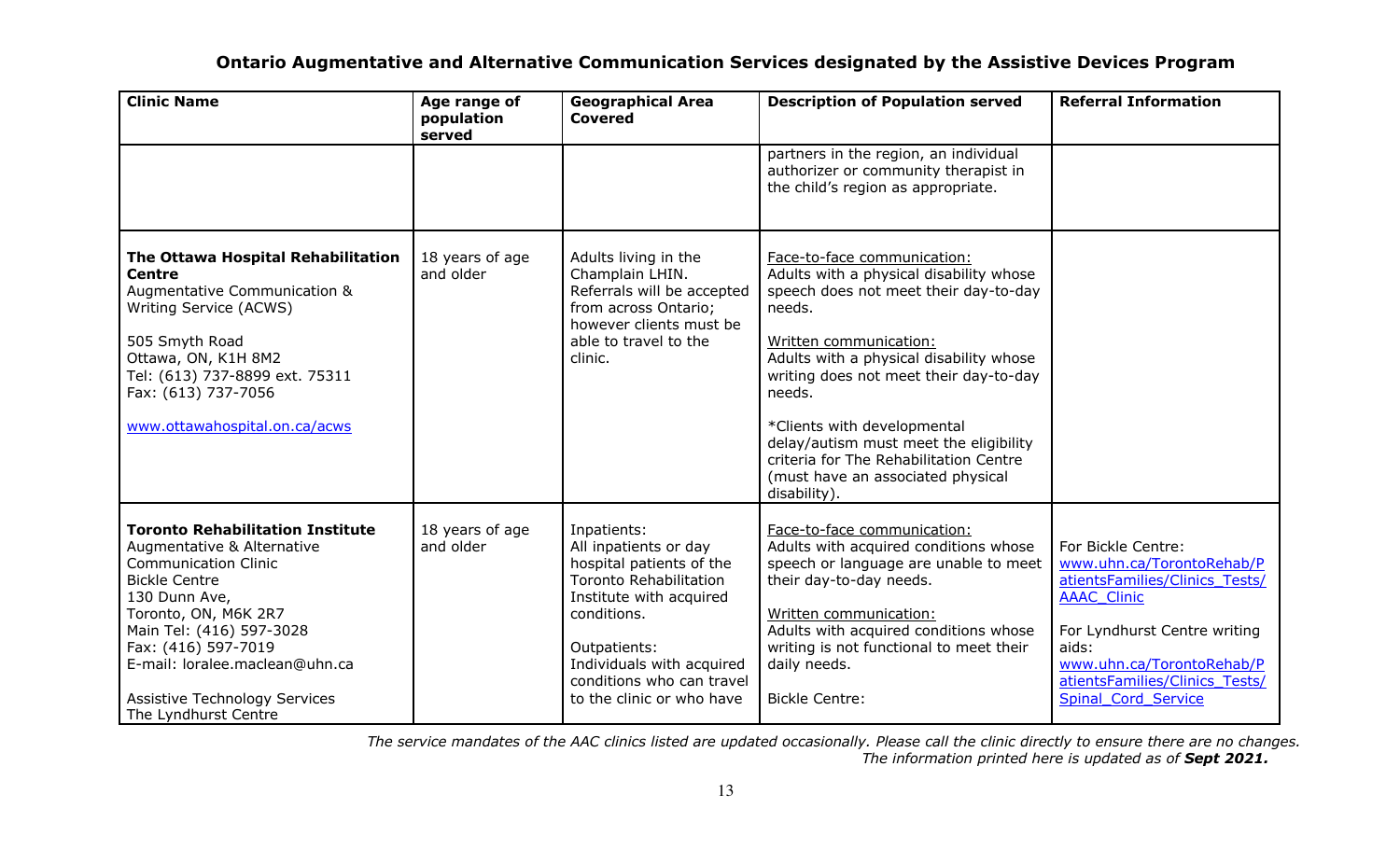| <b>Clinic Name</b>                                                                                                                                                                                                                                                                                                         | Age range of<br>population<br>served | <b>Geographical Area</b><br><b>Covered</b>                                                                                                                                                                                                         | <b>Description of Population served</b>                                                                                                                                                                                                                                                                                                                                                                                    | <b>Referral Information</b>                                                                                                                                                                                                            |
|----------------------------------------------------------------------------------------------------------------------------------------------------------------------------------------------------------------------------------------------------------------------------------------------------------------------------|--------------------------------------|----------------------------------------------------------------------------------------------------------------------------------------------------------------------------------------------------------------------------------------------------|----------------------------------------------------------------------------------------------------------------------------------------------------------------------------------------------------------------------------------------------------------------------------------------------------------------------------------------------------------------------------------------------------------------------------|----------------------------------------------------------------------------------------------------------------------------------------------------------------------------------------------------------------------------------------|
|                                                                                                                                                                                                                                                                                                                            |                                      |                                                                                                                                                                                                                                                    | partners in the region, an individual<br>authorizer or community therapist in<br>the child's region as appropriate.                                                                                                                                                                                                                                                                                                        |                                                                                                                                                                                                                                        |
| The Ottawa Hospital Rehabilitation<br><b>Centre</b><br>Augmentative Communication &<br>Writing Service (ACWS)<br>505 Smyth Road<br>Ottawa, ON, K1H 8M2<br>Tel: (613) 737-8899 ext. 75311<br>Fax: (613) 737-7056<br>www.ottawahospital.on.ca/acws                                                                           | 18 years of age<br>and older         | Adults living in the<br>Champlain LHIN.<br>Referrals will be accepted<br>from across Ontario;<br>however clients must be<br>able to travel to the<br>clinic.                                                                                       | Face-to-face communication:<br>Adults with a physical disability whose<br>speech does not meet their day-to-day<br>needs.<br>Written communication:<br>Adults with a physical disability whose<br>writing does not meet their day-to-day<br>needs.<br>*Clients with developmental<br>delay/autism must meet the eligibility<br>criteria for The Rehabilitation Centre<br>(must have an associated physical<br>disability). |                                                                                                                                                                                                                                        |
| <b>Toronto Rehabilitation Institute</b><br>Augmentative & Alternative<br><b>Communication Clinic</b><br><b>Bickle Centre</b><br>130 Dunn Ave,<br>Toronto, ON, M6K 2R7<br>Main Tel: (416) 597-3028<br>Fax: (416) 597-7019<br>E-mail: loralee.maclean@uhn.ca<br><b>Assistive Technology Services</b><br>The Lyndhurst Centre | 18 years of age<br>and older         | Inpatients:<br>All inpatients or day<br>hospital patients of the<br><b>Toronto Rehabilitation</b><br>Institute with acquired<br>conditions.<br>Outpatients:<br>Individuals with acquired<br>conditions who can travel<br>to the clinic or who have | Face-to-face communication:<br>Adults with acquired conditions whose<br>speech or language are unable to meet<br>their day-to-day needs.<br>Written communication:<br>Adults with acquired conditions whose<br>writing is not functional to meet their<br>daily needs.<br><b>Bickle Centre:</b>                                                                                                                            | For Bickle Centre:<br>www.uhn.ca/TorontoRehab/P<br>atientsFamilies/Clinics Tests/<br><b>AAAC Clinic</b><br>For Lyndhurst Centre writing<br>aids:<br>www.uhn.ca/TorontoRehab/P<br>atientsFamilies/Clinics Tests/<br>Spinal_Cord_Service |